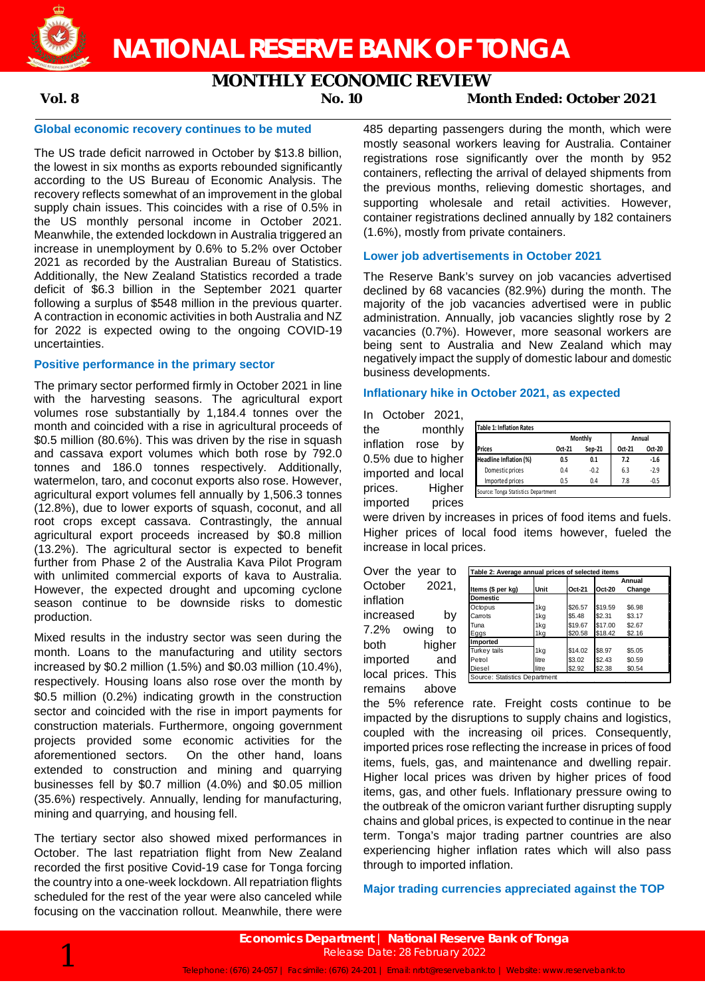

## **MONTHLY ECONOMIC REVIEW**

### **Vol. 8 No. 10 Month Ended: October 2021**

### **Global economic recovery continues to be muted**

The US trade deficit narrowed in October by \$13.8 billion, the lowest in six months as exports rebounded significantly according to the US Bureau of Economic Analysis. The recovery reflects somewhat of an improvement in the global supply chain issues. This coincides with a rise of 0.5% in the US monthly personal income in October 2021. Meanwhile, the extended lockdown in Australia triggered an increase in unemployment by 0.6% to 5.2% over October 2021 as recorded by the Australian Bureau of Statistics. Additionally, the New Zealand Statistics recorded a trade deficit of \$6.3 billion in the September 2021 quarter following a surplus of \$548 million in the previous quarter. A contraction in economic activities in both Australia and NZ for 2022 is expected owing to the ongoing COVID-19 uncertainties.

### **Positive performance in the primary sector**

The primary sector performed firmly in October 2021 in line with the harvesting seasons. The agricultural export volumes rose substantially by 1,184.4 tonnes over the month and coincided with a rise in agricultural proceeds of \$0.5 million (80.6%). This was driven by the rise in squash and cassava export volumes which both rose by 792.0 tonnes and 186.0 tonnes respectively. Additionally, watermelon, taro, and coconut exports also rose. However, agricultural export volumes fell annually by 1,506.3 tonnes (12.8%), due to lower exports of squash, coconut, and all root crops except cassava. Contrastingly, the annual agricultural export proceeds increased by \$0.8 million (13.2%). The agricultural sector is expected to benefit further from Phase 2 of the Australia Kava Pilot Program with unlimited commercial exports of kava to Australia. However, the expected drought and upcoming cyclone season continue to be downside risks to domestic production.

Mixed results in the industry sector was seen during the month. Loans to the manufacturing and utility sectors increased by \$0.2 million (1.5%) and \$0.03 million (10.4%), respectively. Housing loans also rose over the month by \$0.5 million (0.2%) indicating growth in the construction sector and coincided with the rise in import payments for construction materials. Furthermore, ongoing government projects provided some economic activities for the aforementioned sectors. On the other hand, loans extended to construction and mining and quarrying businesses fell by \$0.7 million (4.0%) and \$0.05 million (35.6%) respectively. Annually, lending for manufacturing, mining and quarrying, and housing fell.

The tertiary sector also showed mixed performances in October. The last repatriation flight from New Zealand recorded the first positive Covid-19 case for Tonga forcing the country into a one-week lockdown. All repatriation flights scheduled for the rest of the year were also canceled while focusing on the vaccination rollout. Meanwhile, there were 485 departing passengers during the month, which were mostly seasonal workers leaving for Australia. Container registrations rose significantly over the month by 952 containers, reflecting the arrival of delayed shipments from the previous months, relieving domestic shortages, and supporting wholesale and retail activities. However, container registrations declined annually by 182 containers (1.6%), mostly from private containers.

### **Lower job advertisements in October 2021**

The Reserve Bank's survey on job vacancies advertised declined by 68 vacancies (82.9%) during the month. The majority of the job vacancies advertised were in public administration. Annually, job vacancies slightly rose by 2 vacancies (0.7%). However, more seasonal workers are being sent to Australia and New Zealand which may negatively impact the supply of domestic labour and domestic business developments.

### **Inflationary hike in October 2021, as expected**

In October 2021, the monthly inflation rose by 0.5% due to higher imported and local prices. Higher imported prices

|                        |        | <b>Monthly</b> |        | Annual |
|------------------------|--------|----------------|--------|--------|
| <b>Prices</b>          | Oct-21 | Sep-21         | Oct-21 | Oct-20 |
| Headline Inflation (%) | 0.5    | 0.1            | 7.2    | $-1.6$ |
| Domestic prices        | 0.4    | $-0.2$         | 6.3    | $-2.9$ |
| Imported prices        | 0.5    | 0.4            | 7.8    | $-0.5$ |

were driven by increases in prices of food items and fuels. Higher prices of local food items however, fueled the increase in local prices.

Over the year to October 2021, inflation increased by 7.2% owing to both higher imported and local prices. This remains above

| Table 2: Average annual prices of selected items |       |         |         |        |  |  |
|--------------------------------------------------|-------|---------|---------|--------|--|--|
|                                                  |       |         | Annual  |        |  |  |
| Items (\$ per kg)                                | Unit  | Oct-21  | Oct-20  | Change |  |  |
| <b>Domestic</b>                                  |       |         |         |        |  |  |
| Octopus                                          | 1kg   | \$26.57 | \$19.59 | \$6.98 |  |  |
| Carrots                                          | 1kg   | \$5.48  | \$2.31  | \$3.17 |  |  |
| Tuna                                             | 1kg   | \$19.67 | \$17.00 | \$2.67 |  |  |
| Eggs                                             | 1kg   | \$20.58 | \$18.42 | \$2.16 |  |  |
| Imported                                         |       |         |         |        |  |  |
| Turkey tails                                     | 1kg   | \$14.02 | \$8.97  | \$5.05 |  |  |
| Petrol                                           | litre | \$3.02  | \$2.43  | \$0.59 |  |  |
| Diesel                                           | litre | \$2.92  | \$2.38  | \$0.54 |  |  |
| Source: Statistics Department                    |       |         |         |        |  |  |

the 5% reference rate. Freight costs continue to be impacted by the disruptions to supply chains and logistics, coupled with the increasing oil prices. Consequently, imported prices rose reflecting the increase in prices of food items, fuels, gas, and maintenance and dwelling repair. Higher local prices was driven by higher prices of food items, gas, and other fuels. Inflationary pressure owing to the outbreak of the omicron variant further disrupting supply chains and global prices, is expected to continue in the near term. Tonga's major trading partner countries are also experiencing higher inflation rates which will also pass through to imported inflation.

### **Major trading currencies appreciated against the TOP**

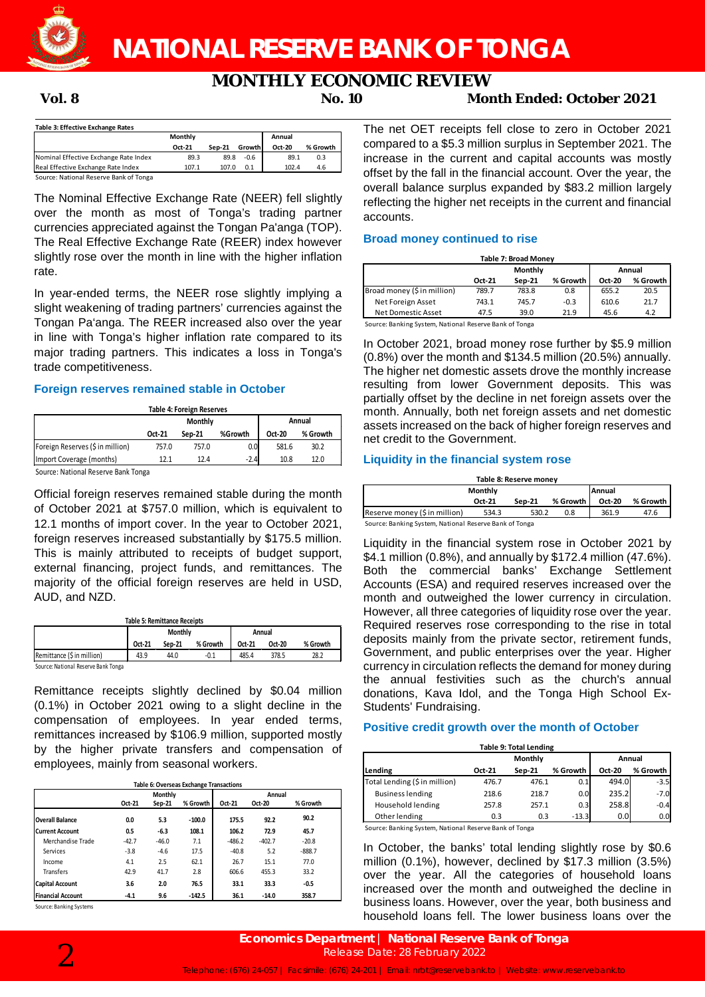

# **MONTHLY ECONOMIC REVIEW**<br>No. 10 Mor

**Vol. 8 No. 10 Month Ended: October 2021**

| Table 3: Effective Exchange Rates      |         |          |        |        |          |
|----------------------------------------|---------|----------|--------|--------|----------|
|                                        | Monthly |          |        | Annual |          |
|                                        | Oct-21  | $Sen-21$ | Growth | Oct-20 | % Growth |
| Nominal Effective Exchange Rate Index  | 89.3    | 89.8     | $-0.6$ | 89.1   | 0.3      |
| Real Effective Exchange Rate Index     | 107.1   | 107.0    | 0.1    | 102.4  | 4.6      |
| Source: National Reserve Bank of Tonga |         |          |        |        |          |

The Nominal Effective Exchange Rate (NEER) fell slightly over the month as most of Tonga's trading partner currencies appreciated against the Tongan Pa'anga (TOP). The Real Effective Exchange Rate (REER) index however slightly rose over the month in line with the higher inflation rate.

In year-ended terms, the NEER rose slightly implying a slight weakening of trading partners' currencies against the Tongan Pa'anga. The REER increased also over the year in line with Tonga's higher inflation rate compared to its major trading partners. This indicates a loss in Tonga's trade competitiveness.

### **Foreign reserves remained stable in October**

| <b>Table 4: Foreign Reserves</b>    |        |         |         |        |          |  |  |  |
|-------------------------------------|--------|---------|---------|--------|----------|--|--|--|
|                                     |        | Monthly |         | Annual |          |  |  |  |
|                                     | Oct-21 | Sep-21  | %Growth | Oct-20 | % Growth |  |  |  |
| Foreign Reserves (\$ in million)    | 757.0  | 757.0   | 0.0     | 581.6  | 30.2     |  |  |  |
| Import Coverage (months)            | 12.1   | 12.4    | $-2.4$  | 10.8   | 12.0     |  |  |  |
| Source: National Reserve Bank Tonga |        |         |         |        |          |  |  |  |

I Reserve Ban

Official foreign reserves remained stable during the month of October 2021 at \$757.0 million, which is equivalent to 12.1 months of import cover. In the year to October 2021, foreign reserves increased substantially by \$175.5 million. This is mainly attributed to receipts of budget support, external financing, project funds, and remittances. The majority of the official foreign reserves are held in USD, AUD, and NZD.

**Table 5: Remittance Receipts**

|                                     | <b>Monthly</b> |        |          |        | Annual |          |
|-------------------------------------|----------------|--------|----------|--------|--------|----------|
|                                     | Oct-21         | Sep-21 | % Growth | Oct-21 | Oct-20 | % Growth |
| Remittance (\$ in million)          | 43.9           | 44.0   | $-0.1$   | 485.4  | 378.5  | 28.2     |
| Source: National Reserve Bank Tonga |                |        |          |        |        |          |

Source: National Reserve Bank Tonga

Remittance receipts slightly declined by \$0.04 million (0.1%) in October 2021 owing to a slight decline in the compensation of employees. In year ended terms, remittances increased by \$106.9 million, supported mostly by the higher private transfers and compensation of employees, mainly from seasonal workers.

|                          | Table 6: Overseas Exchange Transactions |         |          |          |          |          |  |  |  |
|--------------------------|-----------------------------------------|---------|----------|----------|----------|----------|--|--|--|
|                          |                                         | Monthly |          |          | Annual   |          |  |  |  |
|                          | Oct-21                                  | Sep-21  | % Growth | Oct-21   | Oct-20   | % Growth |  |  |  |
| <b>Overall Balance</b>   | 0.0                                     | 5.3     | $-100.0$ | 175.5    | 92.2     | 90.2     |  |  |  |
| lCurrent Account         | 0.5                                     | $-6.3$  | 108.1    | 106.2    | 72.9     | 45.7     |  |  |  |
| Merchandise Trade        | $-42.7$                                 | $-46.0$ | 7.1      | $-486.2$ | $-402.7$ | $-20.8$  |  |  |  |
| Services                 | $-3.8$                                  | $-4.6$  | 17.5     | $-40.8$  | 5.2      | $-888.7$ |  |  |  |
| Income                   | 4.1                                     | 2.5     | 62.1     | 26.7     | 15.1     | 77.0     |  |  |  |
| <b>Transfers</b>         | 42.9                                    | 41.7    | 2.8      | 606.6    | 455.3    | 33.2     |  |  |  |
| <b>Capital Account</b>   | 3.6                                     | 2.0     | 76.5     | 33.1     | 33.3     | $-0.5$   |  |  |  |
| <b>Financial Account</b> | $-4.1$                                  | 9.6     | $-142.5$ | 36.1     | $-14.0$  | 358.7    |  |  |  |

Source: Banking Systems



The net OET receipts fell close to zero in October 2021 compared to a \$5.3 million surplus in September 2021. The increase in the current and capital accounts was mostly offset by the fall in the financial account. Over the year, the overall balance surplus expanded by \$83.2 million largely reflecting the higher net receipts in the current and financial accounts.

### **Broad money continued to rise**

| <b>Table 7: Broad Monev</b> |        |         |          |        |          |  |
|-----------------------------|--------|---------|----------|--------|----------|--|
|                             |        | Monthly |          | Annual |          |  |
|                             | Oct-21 | Sep-21  | % Growth | Oct-20 | % Growth |  |
| Broad money (\$ in million) | 789.7  | 783.8   | 0.8      | 655.2  | 20.5     |  |
| Net Foreign Asset           | 743.1  | 745.7   | $-0.3$   | 610.6  | 21.7     |  |
| Net Domestic Asset          | 47.5   | 39.0    | 21.9     | 45.6   | 4.2      |  |

Source: Banking System, National Reserve Bank of Tonga

In October 2021, broad money rose further by \$5.9 million (0.8%) over the month and \$134.5 million (20.5%) annually. The higher net domestic assets drove the monthly increase resulting from lower Government deposits. This was partially offset by the decline in net foreign assets over the month. Annually, both net foreign assets and net domestic assets increased on the back of higher foreign reserves and net credit to the Government.

### **Liquidity in the financial system rose**

| Table 8: Reserve money        |         |          |          |               |            |  |  |
|-------------------------------|---------|----------|----------|---------------|------------|--|--|
|                               | Monthly |          | Annual   |               |            |  |  |
|                               | Oct-21  | $Sen-21$ | % Growth | <b>Oct-20</b> | % Growth I |  |  |
| Reserve money (\$ in million) | 534.3   | 530.2    | 0.8      | 361.9         | 47.6       |  |  |

Source: Banking System, National Reserve Bank of Tonga

Liquidity in the financial system rose in October 2021 by \$4.1 million (0.8%), and annually by \$172.4 million (47.6%). Both the commercial banks' Exchange Settlement Accounts (ESA) and required reserves increased over the month and outweighed the lower currency in circulation. However, all three categories of liquidity rose over the year. Required reserves rose corresponding to the rise in total deposits mainly from the private sector, retirement funds, Government, and public enterprises over the year. Higher currency in circulation reflects the demand for money during the annual festivities such as the church's annual donations, Kava Idol, and the Tonga High School Ex-Students' Fundraising.

### **Positive credit growth over the month of October**

| <b>Table 9: Total Lending</b> |         |          |               |          |  |  |  |
|-------------------------------|---------|----------|---------------|----------|--|--|--|
|                               | Monthly | Annual   |               |          |  |  |  |
| Oct-21                        | Sep-21  | % Growth | <b>Oct-20</b> | % Growth |  |  |  |
| 476.7                         | 476.1   | 0.1      | 494.0         | $-3.5$   |  |  |  |
| 218.6                         | 218.7   | 0.0      | 235.2         | $-7.0$   |  |  |  |
| 257.8                         | 257.1   | 0.3      | 258.8         | $-0.4$   |  |  |  |
| 0.3                           | 0.3     | $-13.3$  | 0.0           | 0.0      |  |  |  |
|                               |         |          |               |          |  |  |  |

g System, National Reserve B

In October, the banks' total lending slightly rose by \$0.6 million (0.1%), however, declined by \$17.3 million (3.5%) over the year. All the categories of household loans increased over the month and outweighed the decline in business loans. However, over the year, both business and household loans fell. The lower business loans over the